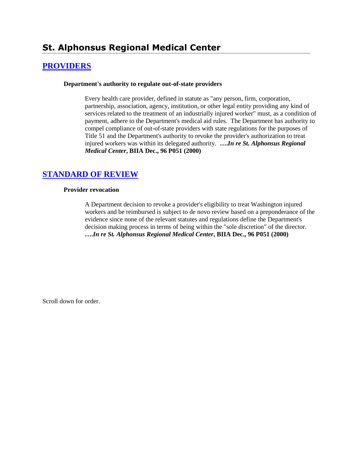# **St. Alphonsus Regional Medical Center**

## **[PROVIDERS](http://www.biia.wa.gov/SDSubjectIndex.html#PROVIDERS)**

#### **Department's authority to regulate out-of-state providers**

Every health care provider, defined in statute as "any person, firm, corporation, partnership, association, agency, institution, or other legal entity providing any kind of services related to the treatment of an industrially injured worker" must, as a condition of payment, adhere to the Department's medical aid rules. The Department has authority to compel compliance of out-of-state providers with state regulations for the purposes of Title 51 and the Department's authority to revoke the provider's authorization to treat injured workers was within its delegated authority. **….***In re St. Alphonsus Regional Medical Center***, BIIA Dec., 96 P051 (2000)** 

## **[STANDARD OF REVIEW](http://www.biia.wa.gov/SDSubjectIndex.html#STANDARD_OF_REVIEW)**

#### **Provider revocation**

A Department decision to revoke a provider's eligibility to treat Washington injured workers and be reimbursed is subject to de novo review based on a preponderance of the evidence since none of the relevant statutes and regulations define the Department's decision making process in terms of being within the "sole discretion" of the director. **….***In re St. Alphonsus Regional Medical Center***, BIIA Dec., 96 P051 (2000)** 

Scroll down for order.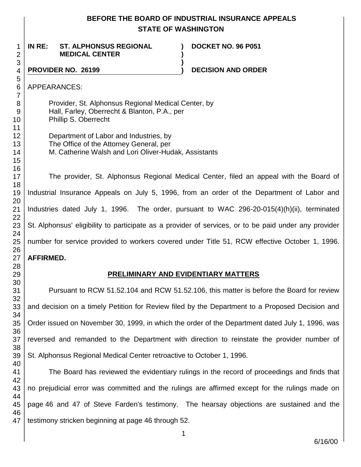## **BEFORE THE BOARD OF INDUSTRIAL INSURANCE APPEALS STATE OF WASHINGTON**

**) )**

**)**

**IN RE: ST. ALPHONSUS REGIONAL MEDICAL CENTER**

**DOCKET NO. 96 P051**

### **PROVIDER NO. 26199 ) DECISION AND ORDER**

APPEARANCES:

Provider, St. Alphonsus Regional Medical Center, by Hall, Farley, Oberrecht & Blanton, P.A., per Phillip S. Oberrecht

Department of Labor and Industries, by The Office of the Attorney General, per M. Catherine Walsh and Lori Oliver-Hudak, Assistants

The provider, St. Alphonsus Regional Medical Center, filed an appeal with the Board of Industrial Insurance Appeals on July 5, 1996, from an order of the Department of Labor and Industries dated July 1, 1996. The order, pursuant to WAC 296-20-015(4)(h)(ii), terminated St. Alphonsus' eligibility to participate as a provider of services, or to be paid under any provider number for service provided to workers covered under Title 51, RCW effective October 1, 1996. **AFFIRMED.**

## **PRELIMINARY AND EVIDENTIARY MATTERS**

Pursuant to RCW 51.52.104 and RCW 51.52.106, this matter is before the Board for review and decision on a timely Petition for Review filed by the Department to a Proposed Decision and Order issued on November 30, 1999, in which the order of the Department dated July 1, 1996, was reversed and remanded to the Department with direction to reinstate the provider number of St. Alphonsus Regional Medical Center retroactive to October 1, 1996.

41 42 43 44 45 46 47 The Board has reviewed the evidentiary rulings in the record of proceedings and finds that no prejudicial error was committed and the rulings are affirmed except for the rulings made on page 46 and 47 of Steve Farden's testimony. The hearsay objections are sustained and the testimony stricken beginning at page 46 through 52.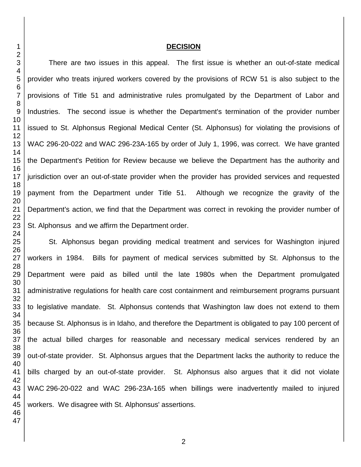#### **DECISION**

There are two issues in this appeal. The first issue is whether an out-of-state medical provider who treats injured workers covered by the provisions of RCW 51 is also subject to the provisions of Title 51 and administrative rules promulgated by the Department of Labor and Industries. The second issue is whether the Department's termination of the provider number issued to St. Alphonsus Regional Medical Center (St. Alphonsus) for violating the provisions of WAC 296-20-022 and WAC 296-23A-165 by order of July 1, 1996, was correct. We have granted the Department's Petition for Review because we believe the Department has the authority and jurisdiction over an out-of-state provider when the provider has provided services and requested payment from the Department under Title 51. Although we recognize the gravity of the Department's action, we find that the Department was correct in revoking the provider number of St. Alphonsus and we affirm the Department order.

St. Alphonsus began providing medical treatment and services for Washington injured workers in 1984. Bills for payment of medical services submitted by St. Alphonsus to the Department were paid as billed until the late 1980s when the Department promulgated administrative regulations for health care cost containment and reimbursement programs pursuant to legislative mandate. St. Alphonsus contends that Washington law does not extend to them because St. Alphonsus is in Idaho, and therefore the Department is obligated to pay 100 percent of the actual billed charges for reasonable and necessary medical services rendered by an out-of-state provider. St. Alphonsus argues that the Department lacks the authority to reduce the bills charged by an out-of-state provider. St. Alphonsus also argues that it did not violate WAC 296-20-022 and WAC 296-23A-165 when billings were inadvertently mailed to injured workers. We disagree with St. Alphonsus' assertions.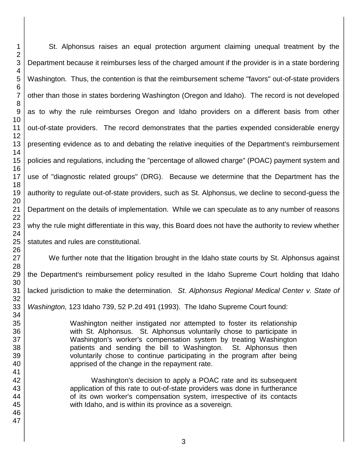St. Alphonsus raises an equal protection argument claiming unequal treatment by the Department because it reimburses less of the charged amount if the provider is in a state bordering Washington. Thus, the contention is that the reimbursement scheme "favors" out-of-state providers other than those in states bordering Washington (Oregon and Idaho). The record is not developed as to why the rule reimburses Oregon and Idaho providers on a different basis from other out-of-state providers. The record demonstrates that the parties expended considerable energy presenting evidence as to and debating the relative inequities of the Department's reimbursement policies and regulations, including the "percentage of allowed charge" (POAC) payment system and use of "diagnostic related groups" (DRG). Because we determine that the Department has the authority to regulate out-of-state providers, such as St. Alphonsus, we decline to second-guess the Department on the details of implementation. While we can speculate as to any number of reasons why the rule might differentiate in this way, this Board does not have the authority to review whether statutes and rules are constitutional.

We further note that the litigation brought in the Idaho state courts by St. Alphonsus against the Department's reimbursement policy resulted in the Idaho Supreme Court holding that Idaho lacked jurisdiction to make the determination. *St. Alphonsus Regional Medical Center v. State of Washington,* 123 Idaho 739, 52 P.2d 491 (1993). The Idaho Supreme Court found:

> Washington neither instigated nor attempted to foster its relationship with St. Alphonsus. St. Alphonsus voluntarily chose to participate in Washington's worker's compensation system by treating Washington patients and sending the bill to Washington. St. Alphonsus then voluntarily chose to continue participating in the program after being apprised of the change in the repayment rate.

> Washington's decision to apply a POAC rate and its subsequent application of this rate to out-of-state providers was done in furtherance of its own worker's compensation system, irrespective of its contacts with Idaho, and is within its province as a sovereign.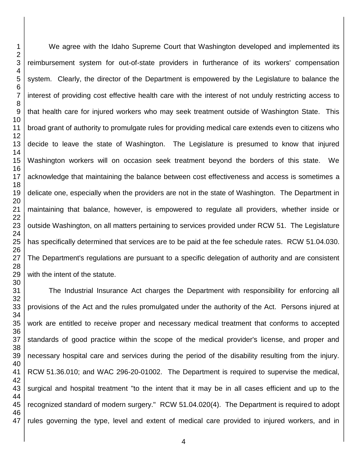We agree with the Idaho Supreme Court that Washington developed and implemented its reimbursement system for out-of-state providers in furtherance of its workers' compensation system. Clearly, the director of the Department is empowered by the Legislature to balance the interest of providing cost effective health care with the interest of not unduly restricting access to that health care for injured workers who may seek treatment outside of Washington State. This broad grant of authority to promulgate rules for providing medical care extends even to citizens who decide to leave the state of Washington. The Legislature is presumed to know that injured Washington workers will on occasion seek treatment beyond the borders of this state. We acknowledge that maintaining the balance between cost effectiveness and access is sometimes a delicate one, especially when the providers are not in the state of Washington. The Department in maintaining that balance, however, is empowered to regulate all providers, whether inside or outside Washington, on all matters pertaining to services provided under RCW 51. The Legislature has specifically determined that services are to be paid at the fee schedule rates. RCW 51.04.030. The Department's regulations are pursuant to a specific delegation of authority and are consistent with the intent of the statute.

The Industrial Insurance Act charges the Department with responsibility for enforcing all provisions of the Act and the rules promulgated under the authority of the Act. Persons injured at work are entitled to receive proper and necessary medical treatment that conforms to accepted standards of good practice within the scope of the medical provider's license, and proper and necessary hospital care and services during the period of the disability resulting from the injury. RCW 51.36.010; and WAC 296-20-01002. The Department is required to supervise the medical, surgical and hospital treatment "to the intent that it may be in all cases efficient and up to the recognized standard of modern surgery." RCW 51.04.020(4). The Department is required to adopt rules governing the type, level and extent of medical care provided to injured workers, and in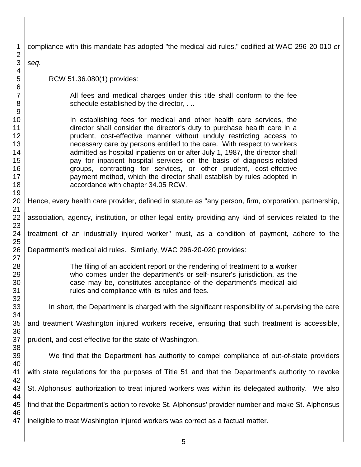| 1                                           | compliance with this mandate has adopted "the medical aid rules," codified at WAC 296-20-010 et                                                |  |  |  |
|---------------------------------------------|------------------------------------------------------------------------------------------------------------------------------------------------|--|--|--|
| $\overline{2}$<br>$\ensuremath{\mathsf{3}}$ | seq.                                                                                                                                           |  |  |  |
| 4                                           |                                                                                                                                                |  |  |  |
| 5                                           | RCW 51.36.080(1) provides:                                                                                                                     |  |  |  |
| 6                                           |                                                                                                                                                |  |  |  |
| $\overline{7}$                              | All fees and medical charges under this title shall conform to the fee                                                                         |  |  |  |
| $\,8\,$<br>9                                | schedule established by the director,.                                                                                                         |  |  |  |
| 10                                          | In establishing fees for medical and other health care services, the                                                                           |  |  |  |
| 11                                          | director shall consider the director's duty to purchase health care in a                                                                       |  |  |  |
| 12                                          | prudent, cost-effective manner without unduly restricting access to                                                                            |  |  |  |
| 13                                          | necessary care by persons entitled to the care. With respect to workers                                                                        |  |  |  |
| 14                                          | admitted as hospital inpatients on or after July 1, 1987, the director shall                                                                   |  |  |  |
| 15                                          | pay for inpatient hospital services on the basis of diagnosis-related                                                                          |  |  |  |
| 16                                          | groups, contracting for services, or other prudent, cost-effective                                                                             |  |  |  |
| 17<br>18                                    | payment method, which the director shall establish by rules adopted in<br>accordance with chapter 34.05 RCW.                                   |  |  |  |
| 19                                          |                                                                                                                                                |  |  |  |
| 20                                          | Hence, every health care provider, defined in statute as "any person, firm, corporation, partnership,                                          |  |  |  |
| 21                                          |                                                                                                                                                |  |  |  |
| 22<br>23                                    | association, agency, institution, or other legal entity providing any kind of services related to the                                          |  |  |  |
| 24                                          | treatment of an industrially injured worker" must, as a condition of payment, adhere to the                                                    |  |  |  |
| 25<br>26                                    | Department's medical aid rules. Similarly, WAC 296-20-020 provides:                                                                            |  |  |  |
| 27                                          |                                                                                                                                                |  |  |  |
| 28                                          | The filing of an accident report or the rendering of treatment to a worker                                                                     |  |  |  |
| 29<br>30                                    | who comes under the department's or self-insurer's jurisdiction, as the<br>case may be, constitutes acceptance of the department's medical aid |  |  |  |
| 31                                          | rules and compliance with its rules and fees.                                                                                                  |  |  |  |
| 32                                          |                                                                                                                                                |  |  |  |
| 33                                          | In short, the Department is charged with the significant responsibility of supervising the care                                                |  |  |  |
| 34                                          |                                                                                                                                                |  |  |  |
| 35                                          | and treatment Washington injured workers receive, ensuring that such treatment is accessible,                                                  |  |  |  |
| 36                                          |                                                                                                                                                |  |  |  |
| 37<br>38                                    | prudent, and cost effective for the state of Washington.                                                                                       |  |  |  |
| 39                                          | We find that the Department has authority to compel compliance of out-of-state providers                                                       |  |  |  |
| 40                                          |                                                                                                                                                |  |  |  |
| 41                                          | with state regulations for the purposes of Title 51 and that the Department's authority to revoke                                              |  |  |  |
| 42                                          |                                                                                                                                                |  |  |  |
| 43                                          | St. Alphonsus' authorization to treat injured workers was within its delegated authority. We also                                              |  |  |  |
| 44                                          |                                                                                                                                                |  |  |  |
| 45<br>46                                    | find that the Department's action to revoke St. Alphonsus' provider number and make St. Alphonsus                                              |  |  |  |
| 47                                          | ineligible to treat Washington injured workers was correct as a factual matter.                                                                |  |  |  |
|                                             |                                                                                                                                                |  |  |  |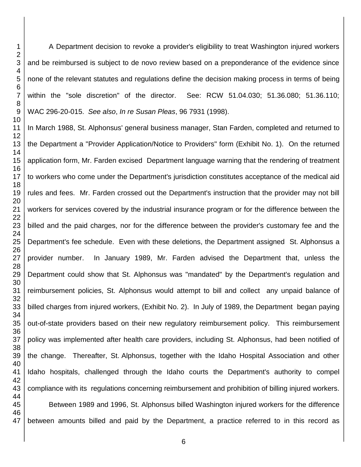A Department decision to revoke a provider's eligibility to treat Washington injured workers and be reimbursed is subject to de novo review based on a preponderance of the evidence since none of the relevant statutes and regulations define the decision making process in terms of being within the "sole discretion" of the director. See: RCW 51.04.030; 51.36.080; 51.36.110; WAC 296-20-015. *See also*, *In re Susan Pleas*, 96 7931 (1998).

In March 1988, St. Alphonsus' general business manager, Stan Farden, completed and returned to the Department a "Provider Application/Notice to Providers" form (Exhibit No. 1). On the returned application form, Mr. Farden excised Department language warning that the rendering of treatment to workers who come under the Department's jurisdiction constitutes acceptance of the medical aid rules and fees. Mr. Farden crossed out the Department's instruction that the provider may not bill workers for services covered by the industrial insurance program or for the difference between the billed and the paid charges, nor for the difference between the provider's customary fee and the Department's fee schedule. Even with these deletions, the Department assigned St. Alphonsus a provider number. In January 1989, Mr. Farden advised the Department that, unless the Department could show that St. Alphonsus was "mandated" by the Department's regulation and reimbursement policies, St. Alphonsus would attempt to bill and collect any unpaid balance of billed charges from injured workers, (Exhibit No. 2). In July of 1989, the Department began paying out-of-state providers based on their new regulatory reimbursement policy. This reimbursement policy was implemented after health care providers, including St. Alphonsus, had been notified of the change. Thereafter, St. Alphonsus, together with the Idaho Hospital Association and other Idaho hospitals, challenged through the Idaho courts the Department's authority to compel compliance with its regulations concerning reimbursement and prohibition of billing injured workers. Between 1989 and 1996, St. Alphonsus billed Washington injured workers for the difference

between amounts billed and paid by the Department, a practice referred to in this record as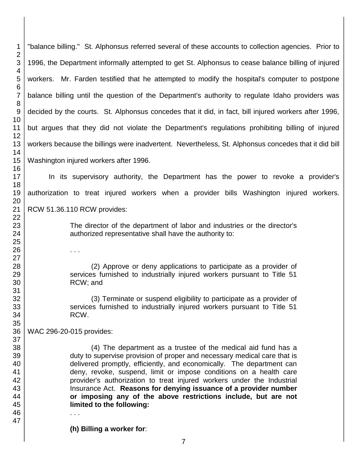"balance billing." St. Alphonsus referred several of these accounts to collection agencies. Prior to 1996, the Department informally attempted to get St. Alphonsus to cease balance billing of injured workers. Mr. Farden testified that he attempted to modify the hospital's computer to postpone balance billing until the question of the Department's authority to regulate Idaho providers was decided by the courts. St. Alphonsus concedes that it did, in fact, bill injured workers after 1996, but argues that they did not violate the Department's regulations prohibiting billing of injured workers because the billings were inadvertent. Nevertheless, St. Alphonsus concedes that it did bill Washington injured workers after 1996.

In its supervisory authority, the Department has the power to revoke a provider's authorization to treat injured workers when a provider bills Washington injured workers. RCW 51.36.110 RCW provides:

> The director of the department of labor and industries or the director's authorized representative shall have the authority to:

> (2) Approve or deny applications to participate as a provider of services furnished to industrially injured workers pursuant to Title 51 RCW; and

> (3) Terminate or suspend eligibility to participate as a provider of services furnished to industrially injured workers pursuant to Title 51 RCW.

 WAC 296-20-015 provides:

. . .

(4) The department as a trustee of the medical aid fund has a duty to supervise provision of proper and necessary medical care that is delivered promptly, efficiently, and economically. The department can deny, revoke, suspend, limit or impose conditions on a health care provider's authorization to treat injured workers under the Industrial Insurance Act. **Reasons for denying issuance of a provider number or imposing any of the above restrictions include, but are not limited to the following:**

. . .

**(h) Billing a worker for**: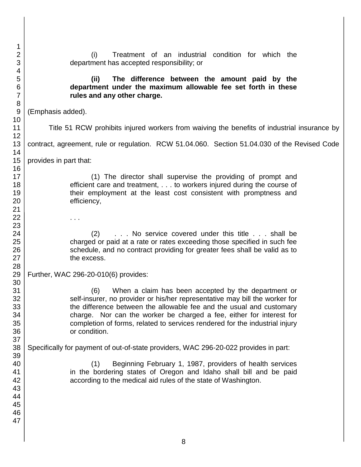| 1               |                                                                                               |  |  |  |
|-----------------|-----------------------------------------------------------------------------------------------|--|--|--|
| $\overline{2}$  | Treatment of an industrial condition for which the<br>(i)                                     |  |  |  |
| 3               | department has accepted responsibility; or                                                    |  |  |  |
| 4               |                                                                                               |  |  |  |
| 5               | (ii)<br>The difference between the amount paid by the                                         |  |  |  |
| $6\phantom{1}6$ | department under the maximum allowable fee set forth in these                                 |  |  |  |
| $\overline{7}$  | rules and any other charge.                                                                   |  |  |  |
| 8               |                                                                                               |  |  |  |
| $\overline{9}$  | (Emphasis added).                                                                             |  |  |  |
| 10<br>11        | Title 51 RCW prohibits injured workers from waiving the benefits of industrial insurance by   |  |  |  |
| 12              |                                                                                               |  |  |  |
| 13              | contract, agreement, rule or regulation. RCW 51.04.060. Section 51.04.030 of the Revised Code |  |  |  |
| 14              |                                                                                               |  |  |  |
| 15              | provides in part that:                                                                        |  |  |  |
| 16              |                                                                                               |  |  |  |
| 17              | (1) The director shall supervise the providing of prompt and                                  |  |  |  |
| 18              | efficient care and treatment, to workers injured during the course of                         |  |  |  |
| 19              | their employment at the least cost consistent with promptness and                             |  |  |  |
| 20              | efficiency,                                                                                   |  |  |  |
| 21              |                                                                                               |  |  |  |
| 22              | $\cdots$                                                                                      |  |  |  |
| 23<br>24        | No service covered under this title  shall be<br>(2)                                          |  |  |  |
| 25              | charged or paid at a rate or rates exceeding those specified in such fee                      |  |  |  |
| 26              | schedule, and no contract providing for greater fees shall be valid as to                     |  |  |  |
| 27              | the excess.                                                                                   |  |  |  |
| 28              |                                                                                               |  |  |  |
| 29              | Further, WAC 296-20-010(6) provides:                                                          |  |  |  |
| 30              |                                                                                               |  |  |  |
| 31              | (6)<br>When a claim has been accepted by the department or                                    |  |  |  |
| 32              | self-insurer, no provider or his/her representative may bill the worker for                   |  |  |  |
| 33              | the difference between the allowable fee and the usual and customary                          |  |  |  |
| 34<br>35        | charge. Nor can the worker be charged a fee, either for interest for                          |  |  |  |
| 36              | completion of forms, related to services rendered for the industrial injury<br>or condition.  |  |  |  |
| 37              |                                                                                               |  |  |  |
| 38              | Specifically for payment of out-of-state providers, WAC 296-20-022 provides in part:          |  |  |  |
| 39              |                                                                                               |  |  |  |
| 40              | Beginning February 1, 1987, providers of health services<br>(1)                               |  |  |  |
| 41              | in the bordering states of Oregon and Idaho shall bill and be paid                            |  |  |  |
| 42              | according to the medical aid rules of the state of Washington.                                |  |  |  |
| 43              |                                                                                               |  |  |  |
| 44              |                                                                                               |  |  |  |
| 45              |                                                                                               |  |  |  |
| 46              |                                                                                               |  |  |  |
| 47              |                                                                                               |  |  |  |
|                 |                                                                                               |  |  |  |
|                 | Ω                                                                                             |  |  |  |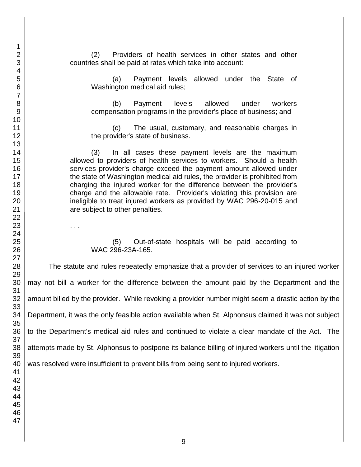. . .

(2) Providers of health services in other states and other countries shall be paid at rates which take into account:

(a) Payment levels allowed under the State of Washington medical aid rules;

(b) Payment levels allowed under workers compensation programs in the provider's place of business; and

(c) The usual, customary, and reasonable charges in the provider's state of business.

(3) In all cases these payment levels are the maximum allowed to providers of health services to workers. Should a health services provider's charge exceed the payment amount allowed under the state of Washington medical aid rules, the provider is prohibited from charging the injured worker for the difference between the provider's charge and the allowable rate. Provider's violating this provision are ineligible to treat injured workers as provided by WAC 296-20-015 and are subject to other penalties.

(5) Out-of-state hospitals will be paid according to WAC 296-23A-165.

The statute and rules repeatedly emphasize that a provider of services to an injured worker may not bill a worker for the difference between the amount paid by the Department and the amount billed by the provider. While revoking a provider number might seem a drastic action by the Department, it was the only feasible action available when St. Alphonsus claimed it was not subject to the Department's medical aid rules and continued to violate a clear mandate of the Act. The attempts made by St. Alphonsus to postpone its balance billing of injured workers until the litigation was resolved were insufficient to prevent bills from being sent to injured workers.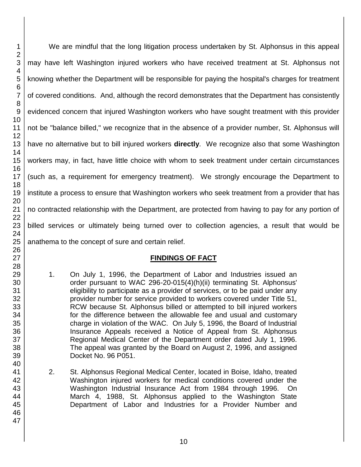We are mindful that the long litigation process undertaken by St. Alphonsus in this appeal may have left Washington injured workers who have received treatment at St. Alphonsus not knowing whether the Department will be responsible for paying the hospital's charges for treatment of covered conditions. And, although the record demonstrates that the Department has consistently evidenced concern that injured Washington workers who have sought treatment with this provider not be "balance billed," we recognize that in the absence of a provider number, St. Alphonsus will have no alternative but to bill injured workers **directly**. We recognize also that some Washington workers may, in fact, have little choice with whom to seek treatment under certain circumstances (such as, a requirement for emergency treatment). We strongly encourage the Department to institute a process to ensure that Washington workers who seek treatment from a provider that has no contracted relationship with the Department, are protected from having to pay for any portion of billed services or ultimately being turned over to collection agencies, a result that would be anathema to the concept of sure and certain relief.

## **FINDINGS OF FACT**

- 1. On July 1, 1996, the Department of Labor and Industries issued an order pursuant to WAC 296-20-015(4)(h)(ii) terminating St. Alphonsus' eligibility to participate as a provider of services, or to be paid under any provider number for service provided to workers covered under Title 51, RCW because St. Alphonsus billed or attempted to bill injured workers for the difference between the allowable fee and usual and customary charge in violation of the WAC. On July 5, 1996, the Board of Industrial Insurance Appeals received a Notice of Appeal from St. Alphonsus Regional Medical Center of the Department order dated July 1, 1996. The appeal was granted by the Board on August 2, 1996, and assigned Docket No. 96 P051.
- 2. St. Alphonsus Regional Medical Center, located in Boise, Idaho, treated Washington injured workers for medical conditions covered under the Washington Industrial Insurance Act from 1984 through 1996. On March 4, 1988, St. Alphonsus applied to the Washington State Department of Labor and Industries for a Provider Number and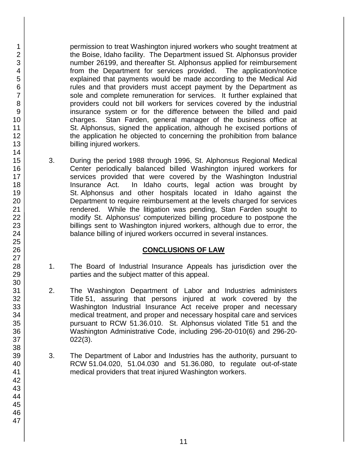permission to treat Washington injured workers who sought treatment at the Boise, Idaho facility. The Department issued St. Alphonsus provider number 26199, and thereafter St. Alphonsus applied for reimbursement from the Department for services provided. The application/notice explained that payments would be made according to the Medical Aid rules and that providers must accept payment by the Department as sole and complete remuneration for services. It further explained that providers could not bill workers for services covered by the industrial insurance system or for the difference between the billed and paid charges. Stan Farden, general manager of the business office at St. Alphonsus, signed the application, although he excised portions of the application he objected to concerning the prohibition from balance billing injured workers.

3. During the period 1988 through 1996, St. Alphonsus Regional Medical Center periodically balanced billed Washington injured workers for services provided that were covered by the Washington Industrial Insurance Act. In Idaho courts, legal action was brought by St. Alphonsus and other hospitals located in Idaho against the Department to require reimbursement at the levels charged for services rendered. While the litigation was pending, Stan Farden sought to modify St. Alphonsus' computerized billing procedure to postpone the billings sent to Washington injured workers, although due to error, the balance billing of injured workers occurred in several instances.

## **CONCLUSIONS OF LAW**

- 1. The Board of Industrial Insurance Appeals has jurisdiction over the parties and the subject matter of this appeal.
- 2. The Washington Department of Labor and Industries administers Title 51, assuring that persons injured at work covered by the Washington Industrial Insurance Act receive proper and necessary medical treatment, and proper and necessary hospital care and services pursuant to RCW 51.36.010. St. Alphonsus violated Title 51 and the Washington Administrative Code, including 296-20-010(6) and 296-20- 022(3).
- 3. The Department of Labor and Industries has the authority, pursuant to RCW 51.04.020, 51.04.030 and 51.36.080, to regulate out-of-state medical providers that treat injured Washington workers.

1